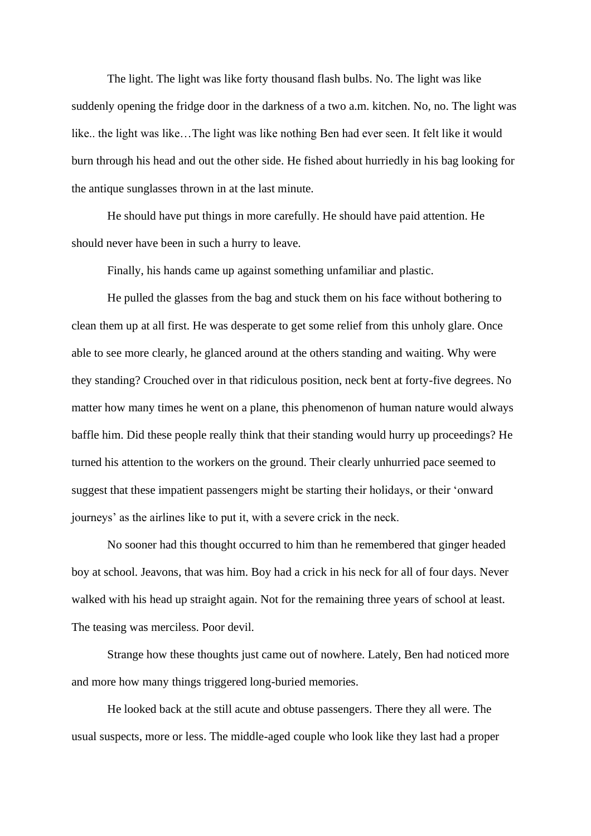The light. The light was like forty thousand flash bulbs. No. The light was like suddenly opening the fridge door in the darkness of a two a.m. kitchen. No, no. The light was like.. the light was like…The light was like nothing Ben had ever seen. It felt like it would burn through his head and out the other side. He fished about hurriedly in his bag looking for the antique sunglasses thrown in at the last minute.

He should have put things in more carefully. He should have paid attention. He should never have been in such a hurry to leave.

Finally, his hands came up against something unfamiliar and plastic.

He pulled the glasses from the bag and stuck them on his face without bothering to clean them up at all first. He was desperate to get some relief from this unholy glare. Once able to see more clearly, he glanced around at the others standing and waiting. Why were they standing? Crouched over in that ridiculous position, neck bent at forty-five degrees. No matter how many times he went on a plane, this phenomenon of human nature would always baffle him. Did these people really think that their standing would hurry up proceedings? He turned his attention to the workers on the ground. Their clearly unhurried pace seemed to suggest that these impatient passengers might be starting their holidays, or their 'onward journeys' as the airlines like to put it, with a severe crick in the neck.

No sooner had this thought occurred to him than he remembered that ginger headed boy at school. Jeavons, that was him. Boy had a crick in his neck for all of four days. Never walked with his head up straight again. Not for the remaining three years of school at least. The teasing was merciless. Poor devil.

Strange how these thoughts just came out of nowhere. Lately, Ben had noticed more and more how many things triggered long-buried memories.

He looked back at the still acute and obtuse passengers. There they all were. The usual suspects, more or less. The middle-aged couple who look like they last had a proper